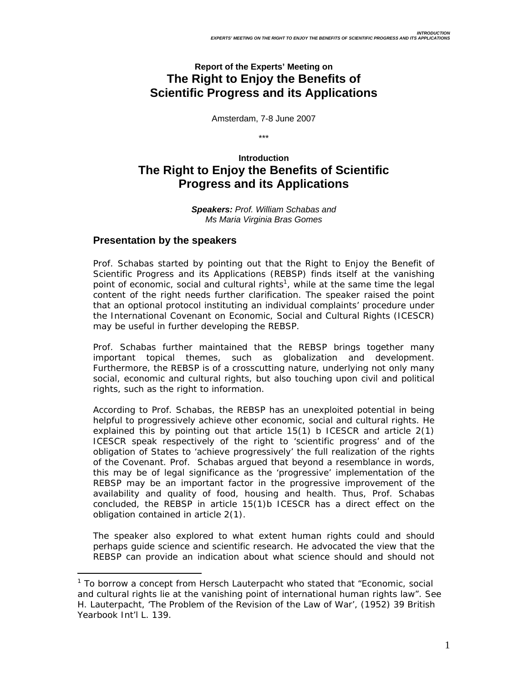# **Report of the Experts' Meeting on The Right to Enjoy the Benefits of Scientific Progress and its Applications**

Amsterdam, 7-8 June 2007

\*\*\*

# **Introduction The Right to Enjoy the Benefits of Scientific Progress and its Applications**

*Speakers: Prof. William Schabas and Ms Maria Virginia Bras Gomes* 

## **Presentation by the speakers**

 $\overline{a}$ 

Prof. Schabas started by pointing out that the Right to Enjoy the Benefit of Scientific Progress and its Applications (REBSP) finds itself at the vanishing point of economic, social and cultural rights<sup>1</sup>, while at the same time the legal content of the right needs further clarification. The speaker raised the point that an optional protocol instituting an individual complaints' procedure under the International Covenant on Economic, Social and Cultural Rights (ICESCR) may be useful in further developing the REBSP.

Prof. Schabas further maintained that the REBSP brings together many important topical themes, such as globalization and development. Furthermore, the REBSP is of a crosscutting nature, underlying not only many social, economic and cultural rights, but also touching upon civil and political rights, such as the right to information.

According to Prof. Schabas, the REBSP has an unexploited potential in being helpful to progressively achieve other economic, social and cultural rights. He explained this by pointing out that article 15(1) b ICESCR and article 2(1) ICESCR speak respectively of the right to 'scientific progress' and of the obligation of States to 'achieve progressively' the full realization of the rights of the Covenant. Prof. Schabas argued that beyond a resemblance in words, this may be of legal significance as the 'progressive' implementation of the REBSP may be an important factor in the progressive improvement of the availability and quality of food, housing and health. Thus, Prof. Schabas concluded, the REBSP in article 15(1)b ICESCR has a direct effect on the obligation contained in article 2(1).

The speaker also explored to what extent human rights could and should perhaps guide science and scientific research. He advocated the view that the REBSP can provide an indication about what science should and should not

<sup>&</sup>lt;sup>1</sup> To borrow a concept from Hersch Lauterpacht who stated that "Economic, social and cultural rights lie at the vanishing point of international human rights law". See H. Lauterpacht, 'The Problem of the Revision of the Law of War', (1952) 39 *British Yearbook Int'l L.* 139.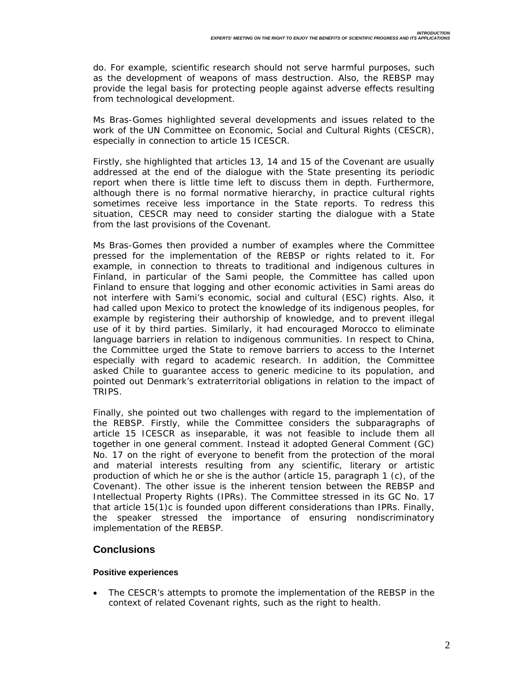do. For example, scientific research should not serve harmful purposes, such as the development of weapons of mass destruction. Also, the REBSP may provide the legal basis for protecting people against adverse effects resulting from technological development.

Ms Bras-Gomes highlighted several developments and issues related to the work of the UN Committee on Economic, Social and Cultural Rights (CESCR), especially in connection to article 15 ICESCR.

Firstly, she highlighted that articles 13, 14 and 15 of the Covenant are usually addressed at the end of the dialogue with the State presenting its periodic report when there is little time left to discuss them in depth. Furthermore, although there is no formal normative hierarchy, in practice cultural rights sometimes receive less importance in the State reports. To redress this situation, CESCR may need to consider starting the dialogue with a State from the last provisions of the Covenant.

Ms Bras-Gomes then provided a number of examples where the Committee pressed for the implementation of the REBSP or rights related to it. For example, in connection to threats to traditional and indigenous cultures in Finland, in particular of the Sami people, the Committee has called upon Finland to ensure that logging and other economic activities in Sami areas do not interfere with Sami's economic, social and cultural (ESC) rights. Also, it had called upon Mexico to protect the knowledge of its indigenous peoples, for example by registering their authorship of knowledge, and to prevent illegal use of it by third parties. Similarly, it had encouraged Morocco to eliminate language barriers in relation to indigenous communities. In respect to China, the Committee urged the State to remove barriers to access to the Internet especially with regard to academic research. In addition, the Committee asked Chile to guarantee access to generic medicine to its population, and pointed out Denmark's extraterritorial obligations in relation to the impact of TRIPS.

Finally, she pointed out two challenges with regard to the implementation of the REBSP. Firstly, while the Committee considers the subparagraphs of article 15 ICESCR as inseparable, it was not feasible to include them all together in one general comment. Instead it adopted General Comment (GC) No. 17 on the right of everyone to benefit from the protection of the moral and material interests resulting from any scientific, literary or artistic production of which he or she is the author (article 15, paragraph 1 (c), of the Covenant). The other issue is the inherent tension between the REBSP and Intellectual Property Rights (IPRs). The Committee stressed in its GC No. 17 that article 15(1)c is founded upon different considerations than IPRs. Finally, the speaker stressed the importance of ensuring nondiscriminatory implementation of the REBSP.

### **Conclusions**

#### **Positive experiences**

• The CESCR's attempts to promote the implementation of the REBSP in the context of related Covenant rights, such as the right to health.